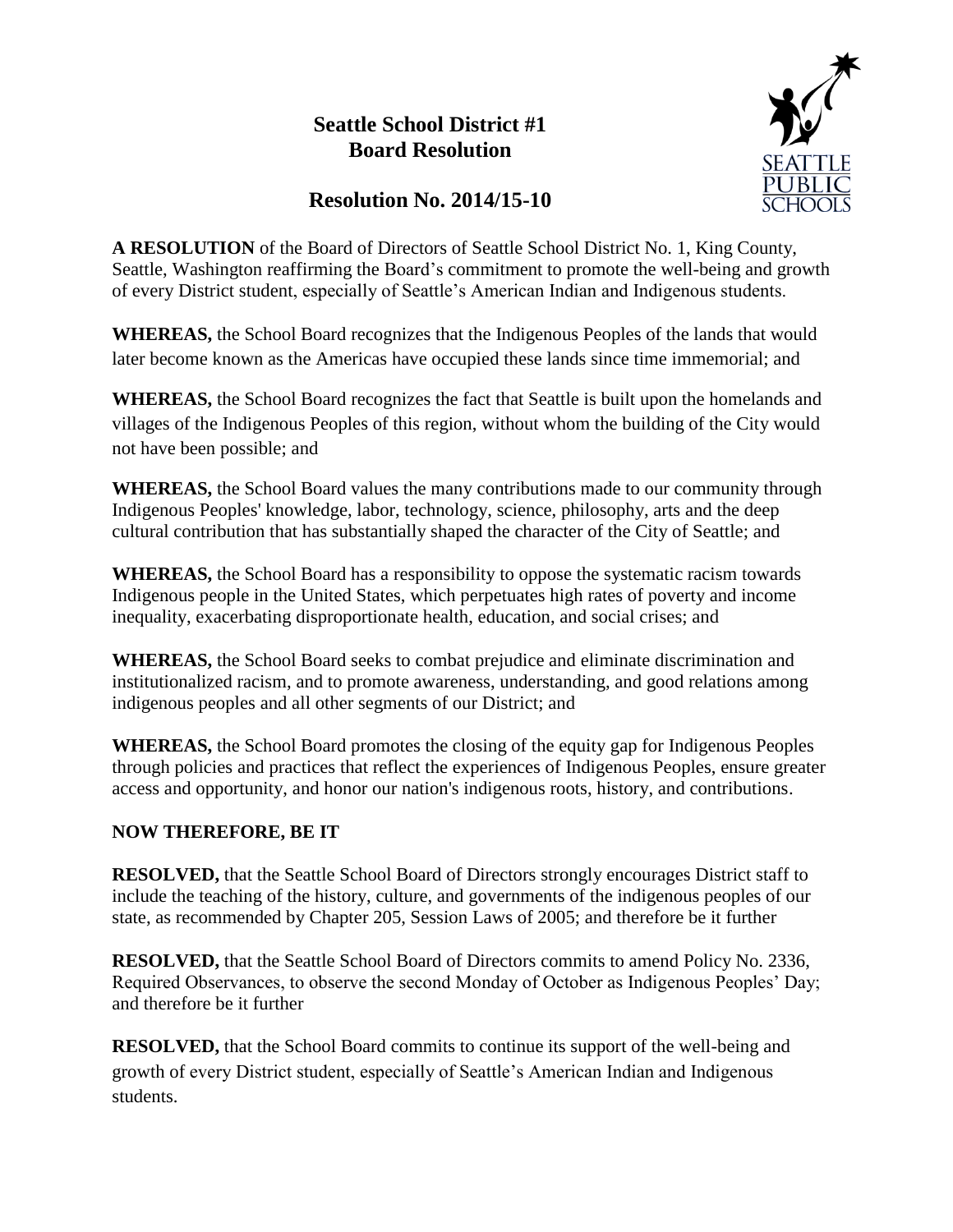## **Seattle School District #1 Board Resolution**



## **Resolution No. 2014/15-10**

**A RESOLUTION** of the Board of Directors of Seattle School District No. 1, King County, Seattle, Washington reaffirming the Board's commitment to promote the well-being and growth of every District student, especially of Seattle's American Indian and Indigenous students.

**WHEREAS,** the School Board recognizes that the Indigenous Peoples of the lands that would later become known as the Americas have occupied these lands since time immemorial; and

**WHEREAS,** the School Board recognizes the fact that Seattle is built upon the homelands and villages of the Indigenous Peoples of this region, without whom the building of the City would not have been possible; and

**WHEREAS,** the School Board values the many contributions made to our community through Indigenous Peoples' knowledge, labor, technology, science, philosophy, arts and the deep cultural contribution that has substantially shaped the character of the City of Seattle; and

**WHEREAS,** the School Board has a responsibility to oppose the systematic racism towards Indigenous people in the United States, which perpetuates high rates of poverty and income inequality, exacerbating disproportionate health, education, and social crises; and

**WHEREAS,** the School Board seeks to combat prejudice and eliminate discrimination and institutionalized racism, and to promote awareness, understanding, and good relations among indigenous peoples and all other segments of our District; and

**WHEREAS,** the School Board promotes the closing of the equity gap for Indigenous Peoples through policies and practices that reflect the experiences of Indigenous Peoples, ensure greater access and opportunity, and honor our nation's indigenous roots, history, and contributions.

## **NOW THEREFORE, BE IT**

**RESOLVED,** that the Seattle School Board of Directors strongly encourages District staff to include the teaching of the history, culture, and governments of the indigenous peoples of our state, as recommended by Chapter 205, Session Laws of 2005; and therefore be it further

**RESOLVED,** that the Seattle School Board of Directors commits to amend Policy No. 2336, Required Observances, to observe the second Monday of October as Indigenous Peoples' Day; and therefore be it further

**RESOLVED,** that the School Board commits to continue its support of the well-being and growth of every District student, especially of Seattle's American Indian and Indigenous students.